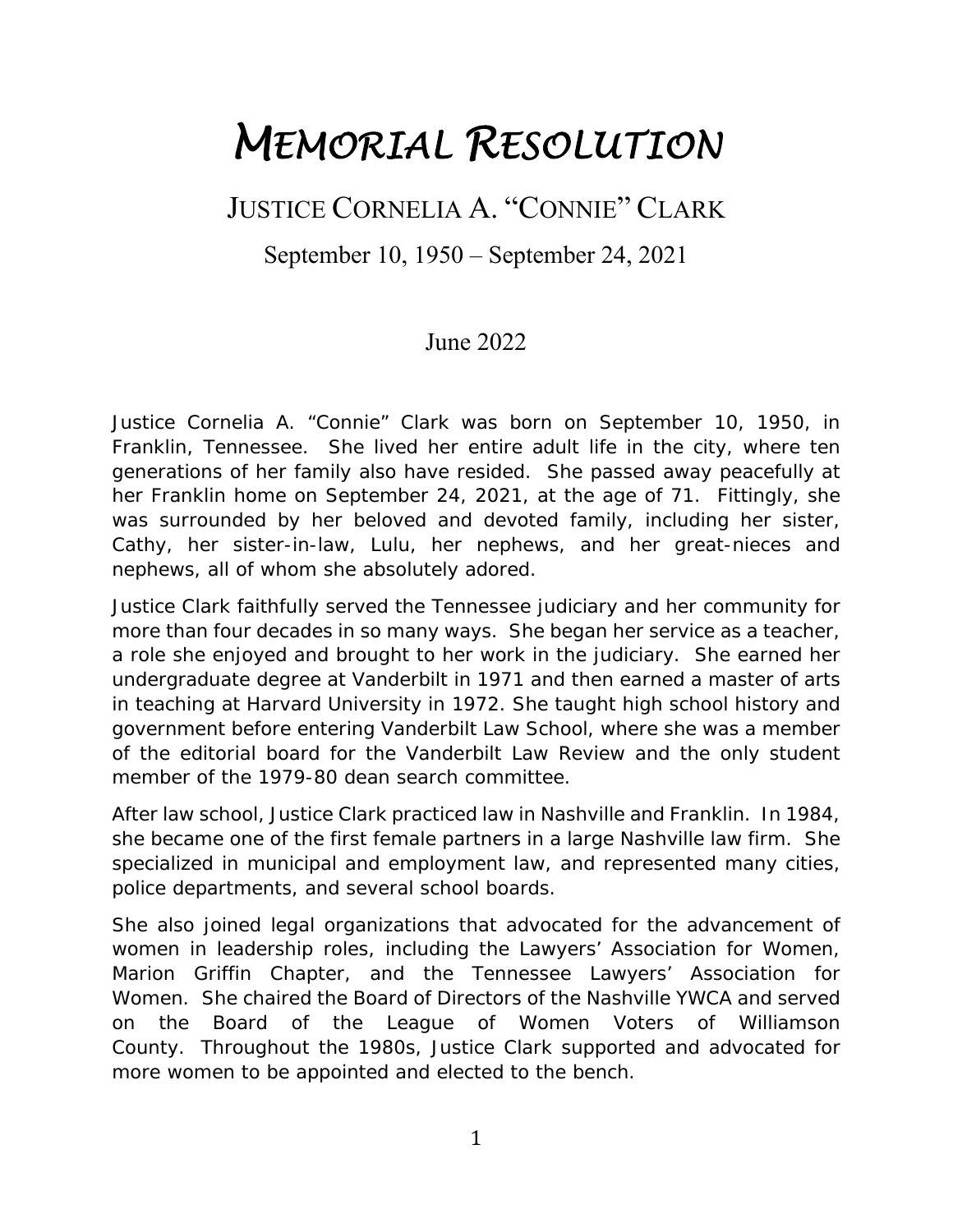## *MEMORIAL RESOLUTION*

## JUSTICE CORNELIA A. "CONNIE" CLARK

September 10, 1950 – September 24, 2021

## June 2022

Justice Cornelia A. "Connie" Clark was born on September 10, 1950, in Franklin, Tennessee. She lived her entire adult life in the city, where ten generations of her family also have resided. She passed away peacefully at her Franklin home on September 24, 2021, at the age of 71. Fittingly, she was surrounded by her beloved and devoted family, including her sister, Cathy, her sister-in-law, Lulu, her nephews, and her great-nieces and nephews, all of whom she absolutely adored.

Justice Clark faithfully served the Tennessee judiciary and her community for more than four decades in so many ways. She began her service as a teacher, a role she enjoyed and brought to her work in the judiciary. She earned her undergraduate degree at Vanderbilt in 1971 and then earned a master of arts in teaching at Harvard University in 1972. She taught high school history and government before entering Vanderbilt Law School, where she was a member of the editorial board for the Vanderbilt Law Review and the only student member of the 1979-80 dean search committee.

After law school, Justice Clark practiced law in Nashville and Franklin. In 1984, she became one of the first female partners in a large Nashville law firm. She specialized in municipal and employment law, and represented many cities, police departments, and several school boards.

She also joined legal organizations that advocated for the advancement of women in leadership roles, including the Lawyers' Association for Women, Marion Griffin Chapter, and the Tennessee Lawyers' Association for Women. She chaired the Board of Directors of the Nashville YWCA and served on the Board of the League of Women Voters of Williamson County. Throughout the 1980s, Justice Clark supported and advocated for more women to be appointed and elected to the bench.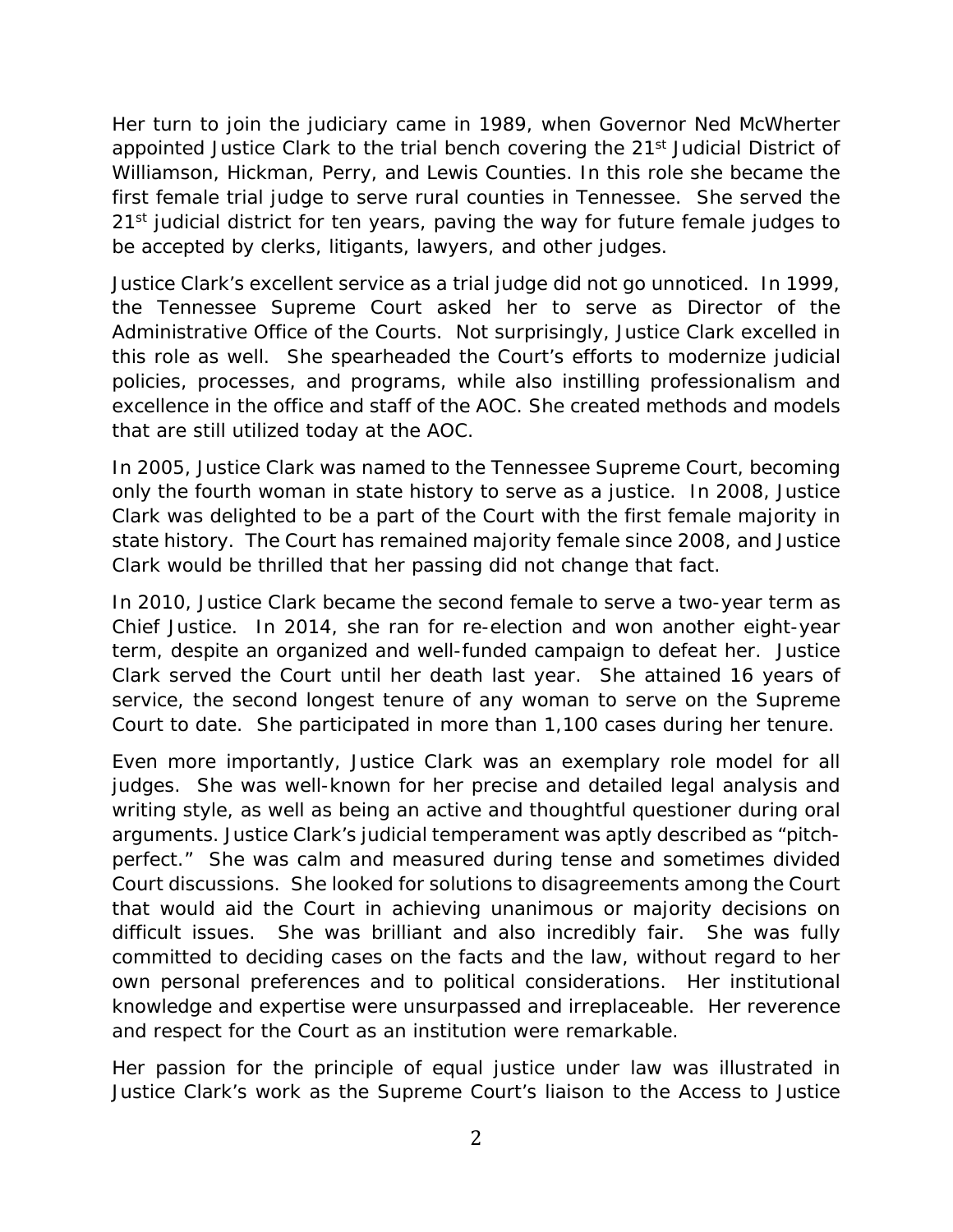Her turn to join the judiciary came in 1989, when Governor Ned McWherter appointed Justice Clark to the trial bench covering the 21<sup>st</sup> Judicial District of Williamson, Hickman, Perry, and Lewis Counties. In this role she became the first female trial judge to serve rural counties in Tennessee. She served the 21<sup>st</sup> judicial district for ten years, paving the way for future female judges to be accepted by clerks, litigants, lawyers, and other judges.

Justice Clark's excellent service as a trial judge did not go unnoticed. In 1999, the Tennessee Supreme Court asked her to serve as Director of the Administrative Office of the Courts. Not surprisingly, Justice Clark excelled in this role as well. She spearheaded the Court's efforts to modernize judicial policies, processes, and programs, while also instilling professionalism and excellence in the office and staff of the AOC. She created methods and models that are still utilized today at the AOC.

In 2005, Justice Clark was named to the Tennessee Supreme Court, becoming only the fourth woman in state history to serve as a justice. In 2008, Justice Clark was delighted to be a part of the Court with the first female majority in state history. The Court has remained majority female since 2008, and Justice Clark would be thrilled that her passing did not change that fact.

In 2010, Justice Clark became the second female to serve a two-year term as Chief Justice. In 2014, she ran for re-election and won another eight-year term, despite an organized and well-funded campaign to defeat her. Justice Clark served the Court until her death last year. She attained 16 years of service, the second longest tenure of any woman to serve on the Supreme Court to date. She participated in more than 1,100 cases during her tenure.

Even more importantly, Justice Clark was an exemplary role model for all judges. She was well-known for her precise and detailed legal analysis and writing style, as well as being an active and thoughtful questioner during oral arguments. Justice Clark's judicial temperament was aptly described as "pitchperfect." She was calm and measured during tense and sometimes divided Court discussions. She looked for solutions to disagreements among the Court that would aid the Court in achieving unanimous or majority decisions on difficult issues. She was brilliant and also incredibly fair. She was fully committed to deciding cases on the facts and the law, without regard to her own personal preferences and to political considerations. Her institutional knowledge and expertise were unsurpassed and irreplaceable. Her reverence and respect for the Court as an institution were remarkable.

Her passion for the principle of equal justice under law was illustrated in Justice Clark's work as the Supreme Court's liaison to the Access to Justice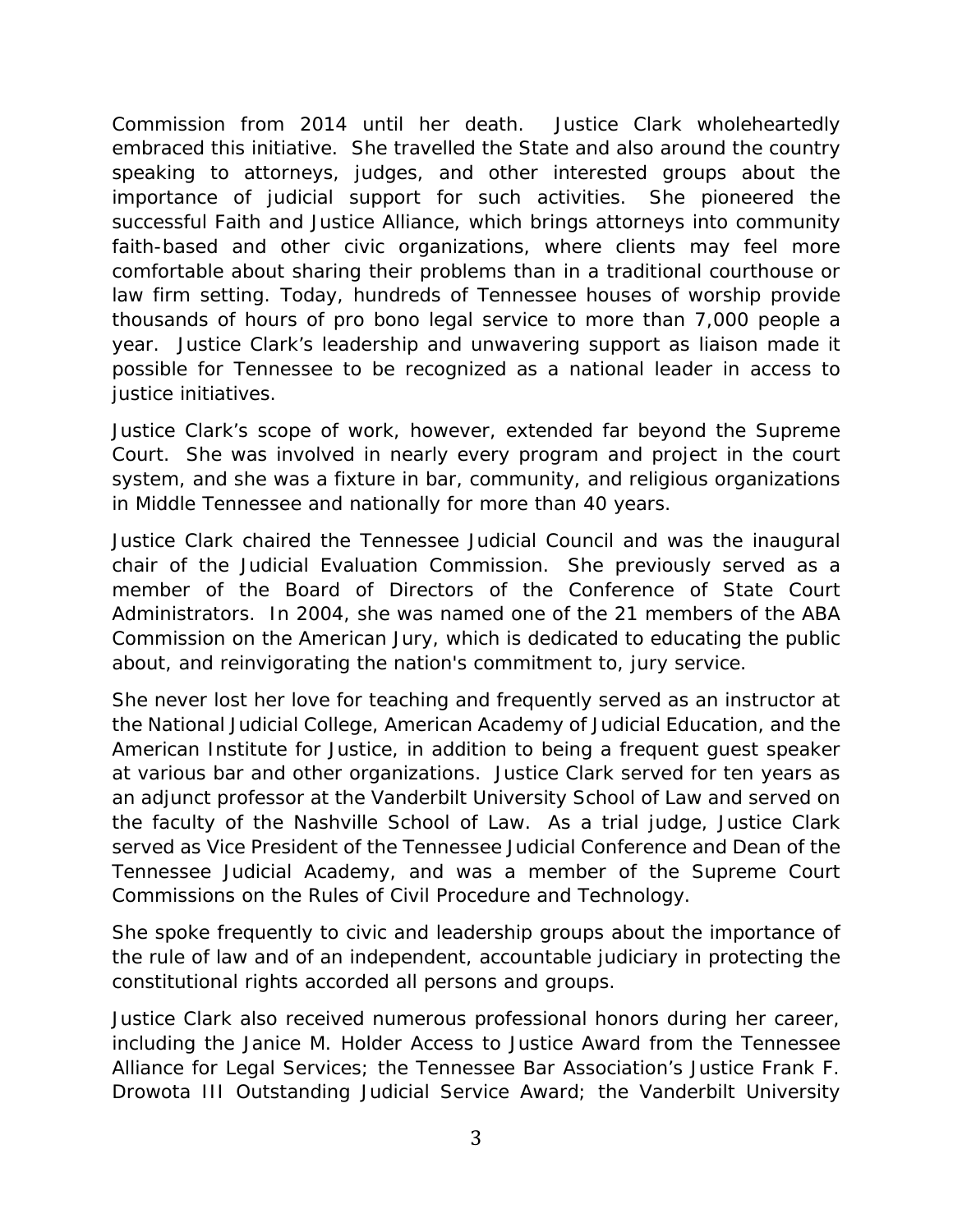Commission from 2014 until her death. Justice Clark wholeheartedly embraced this initiative. She travelled the State and also around the country speaking to attorneys, judges, and other interested groups about the importance of judicial support for such activities. She pioneered the successful Faith and Justice Alliance, which brings attorneys into community faith-based and other civic organizations, where clients may feel more comfortable about sharing their problems than in a traditional courthouse or law firm setting. Today, hundreds of Tennessee houses of worship provide thousands of hours of pro bono legal service to more than 7,000 people a year. Justice Clark's leadership and unwavering support as liaison made it possible for Tennessee to be recognized as a national leader in access to justice initiatives.

Justice Clark's scope of work, however, extended far beyond the Supreme Court. She was involved in nearly every program and project in the court system, and she was a fixture in bar, community, and religious organizations in Middle Tennessee and nationally for more than 40 years.

Justice Clark chaired the Tennessee Judicial Council and was the inaugural chair of the Judicial Evaluation Commission. She previously served as a member of the Board of Directors of the Conference of State Court Administrators. In 2004, she was named one of the 21 members of the ABA Commission on the American Jury, which is dedicated to educating the public about, and reinvigorating the nation's commitment to, jury service.

She never lost her love for teaching and frequently served as an instructor at the National Judicial College, American Academy of Judicial Education, and the American Institute for Justice, in addition to being a frequent guest speaker at various bar and other organizations. Justice Clark served for ten years as an adjunct professor at the Vanderbilt University School of Law and served on the faculty of the Nashville School of Law. As a trial judge, Justice Clark served as Vice President of the Tennessee Judicial Conference and Dean of the Tennessee Judicial Academy, and was a member of the Supreme Court Commissions on the Rules of Civil Procedure and Technology.

She spoke frequently to civic and leadership groups about the importance of the rule of law and of an independent, accountable judiciary in protecting the constitutional rights accorded all persons and groups.

Justice Clark also received numerous professional honors during her career, including the Janice M. Holder Access to Justice Award from the Tennessee Alliance for Legal Services; the Tennessee Bar Association's Justice Frank F. Drowota III Outstanding Judicial Service Award; the Vanderbilt University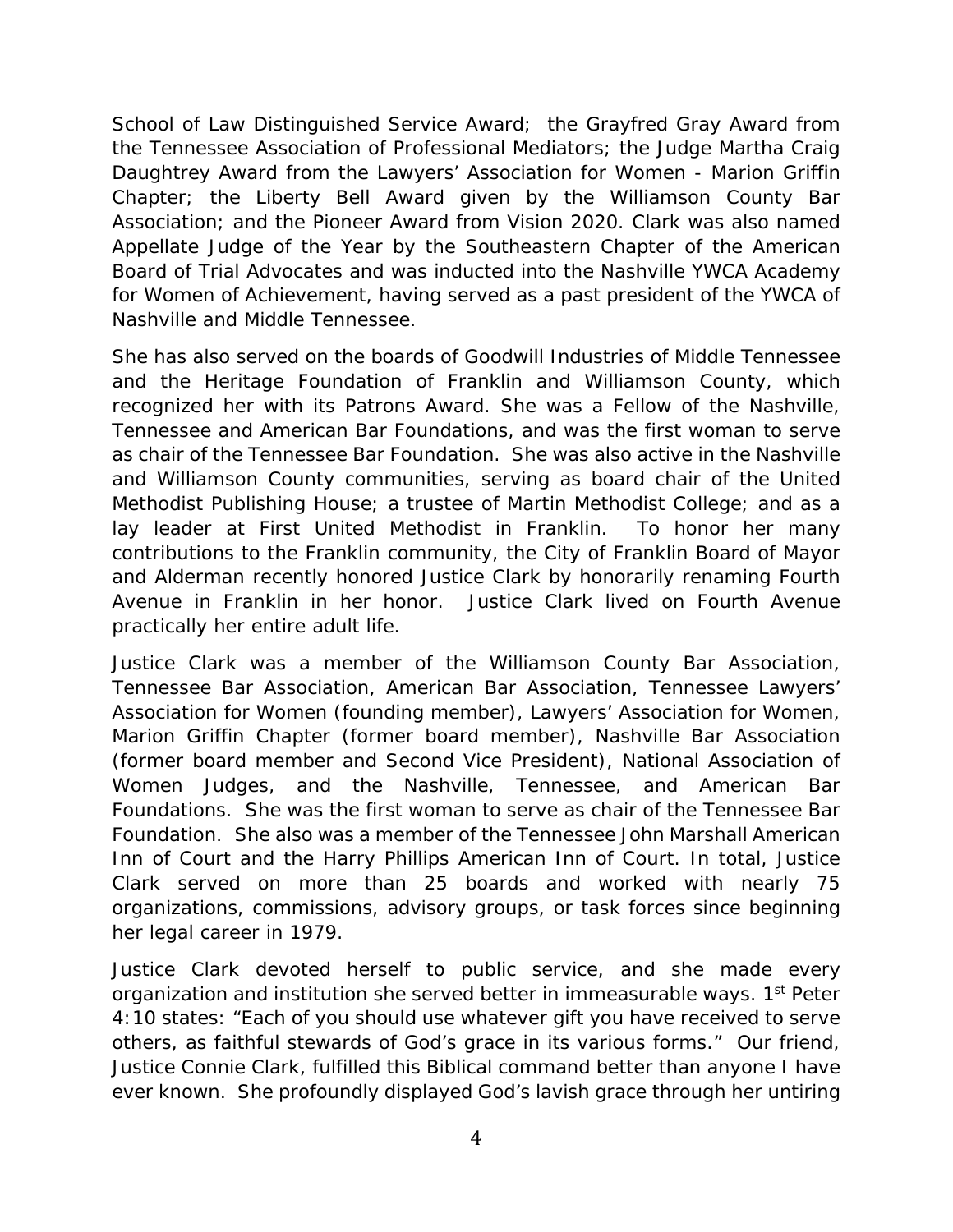School of Law Distinguished Service Award; the Grayfred Gray Award from the Tennessee Association of Professional Mediators; the Judge Martha Craig Daughtrey Award from the Lawyers' Association for Women - Marion Griffin Chapter; the Liberty Bell Award given by the Williamson County Bar Association; and the Pioneer Award from Vision 2020. Clark was also named Appellate Judge of the Year by the Southeastern Chapter of the American Board of Trial Advocates and was inducted into the Nashville YWCA Academy for Women of Achievement, having served as a past president of the YWCA of Nashville and Middle Tennessee.

She has also served on the boards of Goodwill Industries of Middle Tennessee and the Heritage Foundation of Franklin and Williamson County, which recognized her with its Patrons Award. She was a Fellow of the Nashville, Tennessee and American Bar Foundations, and was the first woman to serve as chair of the Tennessee Bar Foundation. She was also active in the Nashville and Williamson County communities, serving as board chair of the United Methodist Publishing House; a trustee of Martin Methodist College; and as a lay leader at First United Methodist in Franklin. To honor her many contributions to the Franklin community, the City of Franklin Board of Mayor and Alderman recently honored Justice Clark by honorarily renaming Fourth Avenue in Franklin in her honor. Justice Clark lived on Fourth Avenue practically her entire adult life.

Justice Clark was a member of the Williamson County Bar Association, Tennessee Bar Association, American Bar Association, Tennessee Lawyers' Association for Women (founding member), Lawyers' Association for Women, Marion Griffin Chapter (former board member), Nashville Bar Association (former board member and Second Vice President), National Association of Women Judges, and the Nashville, Tennessee, and American Bar Foundations. She was the first woman to serve as chair of the Tennessee Bar Foundation. She also was a member of the Tennessee John Marshall American Inn of Court and the Harry Phillips American Inn of Court. In total, Justice Clark served on more than 25 boards and worked with nearly 75 organizations, commissions, advisory groups, or task forces since beginning her legal career in 1979.

Justice Clark devoted herself to public service, and she made every organization and institution she served better in immeasurable ways. 1<sup>st</sup> Peter 4:10 states: "Each of you should use whatever gift you have received to serve others, as faithful stewards of God's grace in its various forms." Our friend, Justice Connie Clark, fulfilled this Biblical command better than anyone I have ever known. She profoundly displayed God's lavish grace through her untiring